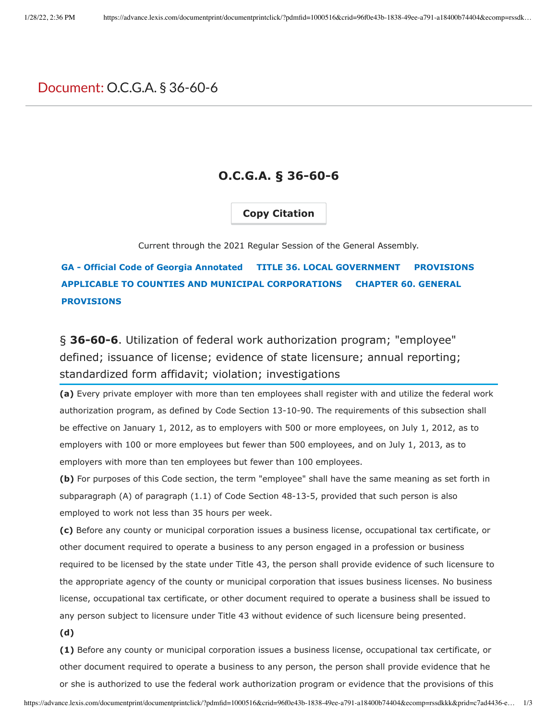## Document: O.C.G.A. § 36-60-6

## **O.C.G.A. § 36-60-6**

## **Copy Citation**

Current through the 2021 Regular Session of the General Assembly.

**GA - Official Code of Georgia Annotated TITLE 36. LOCAL GOVERNMENT PROVISIONS APPLICABLE TO COUNTIES AND MUNICIPAL CORPORATIONS CHAPTER 60. GENERAL PROVISIONS**

§ **36-60-6**. Utilization of federal work authorization program; "employee" defined; issuance of license; evidence of state licensure; annual reporting; standardized form affidavit; violation; investigations

**(a)** Every private employer with more than ten employees shall register with and utilize the federal work authorization program, as defined by Code Section 13-10-90. The requirements of this subsection shall be effective on January 1, 2012, as to employers with 500 or more employees, on July 1, 2012, as to employers with 100 or more employees but fewer than 500 employees, and on July 1, 2013, as to employers with more than ten employees but fewer than 100 employees.

**(b)** For purposes of this Code section, the term "employee" shall have the same meaning as set forth in subparagraph (A) of paragraph (1.1) of Code Section 48-13-5, provided that such person is also employed to work not less than 35 hours per week.

**(c)** Before any county or municipal corporation issues a business license, occupational tax certificate, or other document required to operate a business to any person engaged in a profession or business required to be licensed by the state under Title 43, the person shall provide evidence of such licensure to the appropriate agency of the county or municipal corporation that issues business licenses. No business license, occupational tax certificate, or other document required to operate a business shall be issued to any person subject to licensure under Title 43 without evidence of such licensure being presented.

**(d)**

**(1)** Before any county or municipal corporation issues a business license, occupational tax certificate, or other document required to operate a business to any person, the person shall provide evidence that he or she is authorized to use the federal work authorization program or evidence that the provisions of this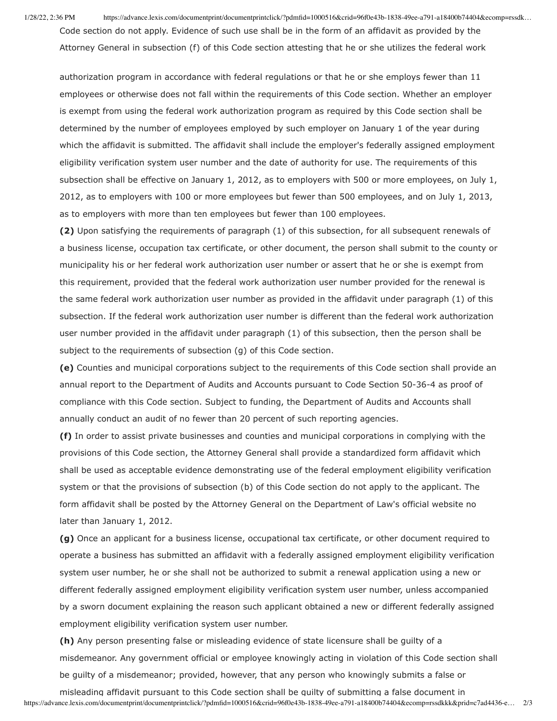1/28/22, 2:36 PM https://advance.lexis.com/documentprint/documentprintclick/?pdmfid=1000516&crid=96f0e43b-1838-49ee-a791-a18400b74404&ecomp=rssdk… Code section do not apply. Evidence of such use shall be in the form of an affidavit as provided by the Attorney General in subsection (f) of this Code section attesting that he or she utilizes the federal work

authorization program in accordance with federal regulations or that he or she employs fewer than 11 employees or otherwise does not fall within the requirements of this Code section. Whether an employer is exempt from using the federal work authorization program as required by this Code section shall be determined by the number of employees employed by such employer on January 1 of the year during which the affidavit is submitted. The affidavit shall include the employer's federally assigned employment eligibility verification system user number and the date of authority for use. The requirements of this subsection shall be effective on January 1, 2012, as to employers with 500 or more employees, on July 1, 2012, as to employers with 100 or more employees but fewer than 500 employees, and on July 1, 2013, as to employers with more than ten employees but fewer than 100 employees.

**(2)** Upon satisfying the requirements of paragraph (1) of this subsection, for all subsequent renewals of a business license, occupation tax certificate, or other document, the person shall submit to the county or municipality his or her federal work authorization user number or assert that he or she is exempt from this requirement, provided that the federal work authorization user number provided for the renewal is the same federal work authorization user number as provided in the affidavit under paragraph (1) of this subsection. If the federal work authorization user number is different than the federal work authorization user number provided in the affidavit under paragraph (1) of this subsection, then the person shall be subject to the requirements of subsection (g) of this Code section.

**(e)** Counties and municipal corporations subject to the requirements of this Code section shall provide an annual report to the Department of Audits and Accounts pursuant to Code Section 50-36-4 as proof of compliance with this Code section. Subject to funding, the Department of Audits and Accounts shall annually conduct an audit of no fewer than 20 percent of such reporting agencies.

**(f)** In order to assist private businesses and counties and municipal corporations in complying with the provisions of this Code section, the Attorney General shall provide a standardized form affidavit which shall be used as acceptable evidence demonstrating use of the federal employment eligibility verification system or that the provisions of subsection (b) of this Code section do not apply to the applicant. The form affidavit shall be posted by the Attorney General on the Department of Law's official website no later than January 1, 2012.

**(g)** Once an applicant for a business license, occupational tax certificate, or other document required to operate a business has submitted an affidavit with a federally assigned employment eligibility verification system user number, he or she shall not be authorized to submit a renewal application using a new or different federally assigned employment eligibility verification system user number, unless accompanied by a sworn document explaining the reason such applicant obtained a new or different federally assigned employment eligibility verification system user number.

**(h)** Any person presenting false or misleading evidence of state licensure shall be guilty of a misdemeanor. Any government official or employee knowingly acting in violation of this Code section shall be guilty of a misdemeanor; provided, however, that any person who knowingly submits a false or